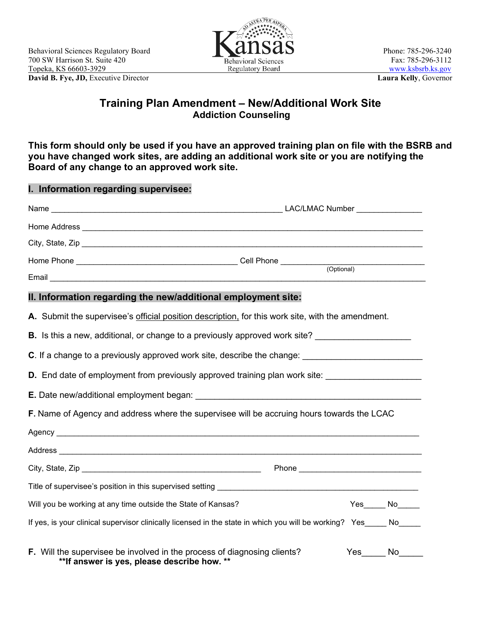

## **Training Plan Amendment – New/Additional Work Site Addiction Counseling**

**This form should only be used if you have an approved training plan on file with the BSRB and you have changed work sites, are adding an additional work site or you are notifying the Board of any change to an approved work site.**

| I. Information regarding supervisee:                         |                                                                                                                     |  |              |
|--------------------------------------------------------------|---------------------------------------------------------------------------------------------------------------------|--|--------------|
|                                                              |                                                                                                                     |  |              |
|                                                              |                                                                                                                     |  |              |
|                                                              |                                                                                                                     |  |              |
|                                                              |                                                                                                                     |  |              |
|                                                              |                                                                                                                     |  |              |
|                                                              | II. Information regarding the new/additional employment site:                                                       |  |              |
|                                                              | A. Submit the supervisee's official position description, for this work site, with the amendment.                   |  |              |
|                                                              | <b>B.</b> Is this a new, additional, or change to a previously approved work site? ______________________           |  |              |
|                                                              | C. If a change to a previously approved work site, describe the change: ____________________________                |  |              |
|                                                              | D. End date of employment from previously approved training plan work site: ________________________                |  |              |
|                                                              |                                                                                                                     |  |              |
|                                                              | F. Name of Agency and address where the supervisee will be accruing hours towards the LCAC                          |  |              |
|                                                              |                                                                                                                     |  |              |
|                                                              |                                                                                                                     |  |              |
|                                                              |                                                                                                                     |  |              |
|                                                              |                                                                                                                     |  |              |
| Will you be working at any time outside the State of Kansas? |                                                                                                                     |  | $Yes$ No $N$ |
|                                                              | If yes, is your clinical supervisor clinically licensed in the state in which you will be working? Yes_____ No_____ |  |              |
| **If answer is yes, please describe how. **                  | F. Will the supervisee be involved in the process of diagnosing clients?                                            |  | Yes No       |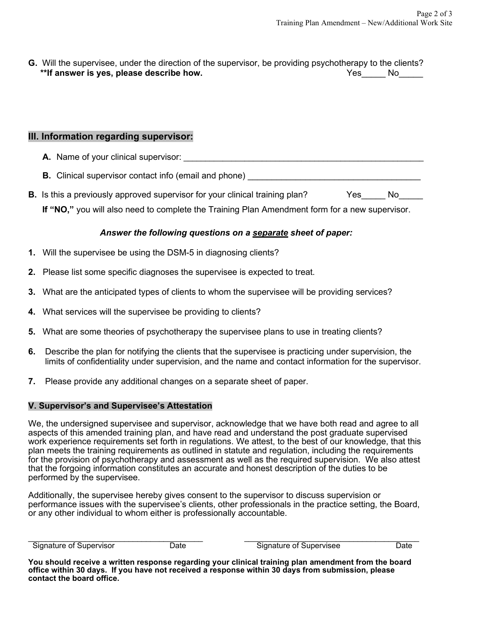**G.** Will the supervisee, under the direction of the supervisor, be providing psychotherapy to the clients?<br>\*\***If answer is yes, please describe how.** Yes No \*\*If answer is yes, please describe how.

## **III. Information regarding supervisor:**

- **A.** Name of your clinical supervisor: \_\_\_\_\_\_\_\_\_\_\_\_\_\_\_\_\_\_\_\_\_\_\_\_\_\_\_\_\_\_\_\_\_\_\_\_\_\_\_\_\_\_\_\_\_\_\_\_\_\_\_\_\_\_\_
- **B.** Clinical supervisor contact info (email and phone)
- **B.** Is this a previously approved supervisor for your clinical training plan? Yes No

 **If "NO,"** you will also need to complete the Training Plan Amendment form for a new supervisor.

## *Answer the following questions on a separate sheet of paper:*

- **1.** Will the supervisee be using the DSM-5 in diagnosing clients?
- **2.** Please list some specific diagnoses the supervisee is expected to treat.
- **3.** What are the anticipated types of clients to whom the supervisee will be providing services?
- **4.** What services will the supervisee be providing to clients?
- **5.** What are some theories of psychotherapy the supervisee plans to use in treating clients?
- **6.** Describe the plan for notifying the clients that the supervisee is practicing under supervision, the limits of confidentiality under supervision, and the name and contact information for the supervisor.
- **7.** Please provide any additional changes on a separate sheet of paper.

## **V. Supervisor's and Supervisee's Attestation**

We, the undersigned supervisee and supervisor, acknowledge that we have both read and agree to all aspects of this amended training plan, and have read and understand the post graduate supervised work experience requirements set forth in regulations. We attest, to the best of our knowledge, that this plan meets the training requirements as outlined in statute and regulation, including the requirements for the provision of psychotherapy and assessment as well as the required supervision. We also attest that the forgoing information constitutes an accurate and honest description of the duties to be performed by the supervisee.

Additionally, the supervisee hereby gives consent to the supervisor to discuss supervision or performance issues with the supervisee's clients, other professionals in the practice setting, the Board, or any other individual to whom either is professionally accountable.

|  | Signature of Supervisor |
|--|-------------------------|
|  |                         |

**You should receive a written response regarding your clinical training plan amendment from the board office within 30 days. If you have not received a response within 30 days from submission, please contact the board office.**